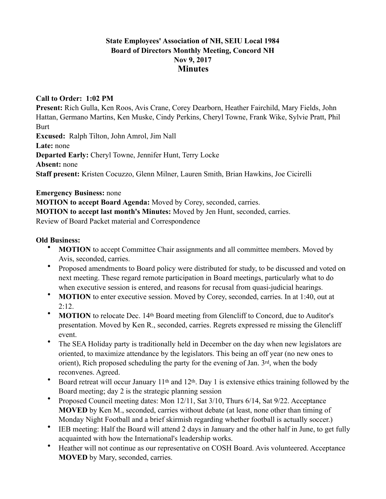## **State Employees' Association of NH, SEIU Local 1984 Board of Directors Monthly Meeting, Concord NH Nov 9, 2017 Minutes**

## **Call to Order: 1:02 PM**

**Present:** Rich Gulla, Ken Roos, Avis Crane, Corey Dearborn, Heather Fairchild, Mary Fields, John Hattan, Germano Martins, Ken Muske, Cindy Perkins, Cheryl Towne, Frank Wike, Sylvie Pratt, Phil **Burt Excused:** Ralph Tilton, John Amrol, Jim Nall **Late:** none **Departed Early:** Cheryl Towne, Jennifer Hunt, Terry Locke **Absent:** none **Staff present:** Kristen Cocuzzo, Glenn Milner, Lauren Smith, Brian Hawkins, Joe Cicirelli

**Emergency Business:** none

**MOTION to accept Board Agenda:** Moved by Corey, seconded, carries.

**MOTION to accept last month's Minutes:** Moved by Jen Hunt, seconded, carries.

Review of Board Packet material and Correspondence

## **Old Business:**

- **MOTION** to accept Committee Chair assignments and all committee members. Moved by Avis, seconded, carries.
- Proposed amendments to Board policy were distributed for study, to be discussed and voted on next meeting. These regard remote participation in Board meetings, particularly what to do when executive session is entered, and reasons for recusal from quasi-judicial hearings.
- **MOTION** to enter executive session. Moved by Corey, seconded, carries. In at 1:40, out at  $2:12.$
- **MOTION** to relocate Dec. 14<sup>th</sup> Board meeting from Glencliff to Concord, due to Auditor's presentation. Moved by Ken R., seconded, carries. Regrets expressed re missing the Glencliff event.
- The SEA Holiday party is traditionally held in December on the day when new legislators are oriented, to maximize attendance by the legislators. This being an off year (no new ones to orient), Rich proposed scheduling the party for the evening of Jan. 3rd, when the body reconvenes. Agreed.
- Board retreat will occur January 11<sup>th</sup> and 12<sup>th</sup>. Day 1 is extensive ethics training followed by the Board meeting; day 2 is the strategic planning session
- Proposed Council meeting dates: Mon 12/11, Sat 3/10, Thurs 6/14, Sat 9/22. Acceptance **MOVED** by Ken M., seconded, carries without debate (at least, none other than timing of Monday Night Football and a brief skirmish regarding whether football is actually soccer.)
- IEB meeting: Half the Board will attend 2 days in January and the other half in June, to get fully acquainted with how the International's leadership works.
- Heather will not continue as our representative on COSH Board. Avis volunteered. Acceptance **MOVED** by Mary, seconded, carries.